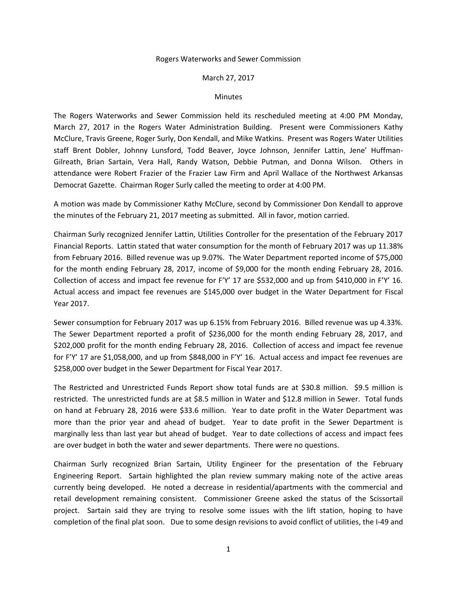## Rogers Waterworks and Sewer Commission

## March 27, 2017

## **Minutes**

The Rogers Waterworks and Sewer Commission held its rescheduled meeting at 4:00 PM Monday, March 27, 2017 in the Rogers Water Administration Building. Present were Commissioners Kathy McClure, Travis Greene, Roger Surly, Don Kendall, and Mike Watkins. Present was Rogers Water Utilities staff Brent Dobler, Johnny Lunsford, Todd Beaver, Joyce Johnson, Jennifer Lattin, Jene' Huffman-Gilreath, Brian Sartain, Vera Hall, Randy Watson, Debbie Putman, and Donna Wilson. Others in attendance were Robert Frazier of the Frazier Law Firm and April Wallace of the Northwest Arkansas Democrat Gazette. Chairman Roger Surly called the meeting to order at 4:00 PM.

A motion was made by Commissioner Kathy McClure, second by Commissioner Don Kendall to approve the minutes of the February 21, 2017 meeting as submitted. All in favor, motion carried.

Chairman Surly recognized Jennifer Lattin, Utilities Controller for the presentation of the February 2017 Financial Reports. Lattin stated that water consumption for the month of February 2017 was up 11.38% from February 2016. Billed revenue was up 9.07%. The Water Department reported income of \$75,000 for the month ending February 28, 2017, income of \$9,000 for the month ending February 28, 2016. Collection of access and impact fee revenue for F'Y' 17 are \$532,000 and up from \$410,000 in F'Y' 16. Actual access and impact fee revenues are \$145,000 over budget in the Water Department for Fiscal Year 2017.

Sewer consumption for February 2017 was up 6.15% from February 2016. Billed revenue was up 4.33%. The Sewer Department reported a profit of \$236,000 for the month ending February 28, 2017, and \$202,000 profit for the month ending February 28, 2016. Collection of access and impact fee revenue for F'Y' 17 are \$1,058,000, and up from \$848,000 in F'Y' 16. Actual access and impact fee revenues are \$258,000 over budget in the Sewer Department for Fiscal Year 2017.

The Restricted and Unrestricted Funds Report show total funds are at \$30.8 million. \$9.5 million is restricted. The unrestricted funds are at \$8.5 million in Water and \$12.8 million in Sewer. Total funds on hand at February 28, 2016 were \$33.6 million. Year to date profit in the Water Department was more than the prior year and ahead of budget. Year to date profit in the Sewer Department is marginally less than last year but ahead of budget. Year to date collections of access and impact fees are over budget in both the water and sewer departments. There were no questions.

Chairman Surly recognized Brian Sartain, Utility Engineer for the presentation of the February Engineering Report. Sartain highlighted the plan review summary making note of the active areas currently being developed. He noted a decrease in residential/apartments with the commercial and retail development remaining consistent. Commissioner Greene asked the status of the Scissortail project. Sartain said they are trying to resolve some issues with the lift station, hoping to have completion of the final plat soon. Due to some design revisions to avoid conflict of utilities, the I-49 and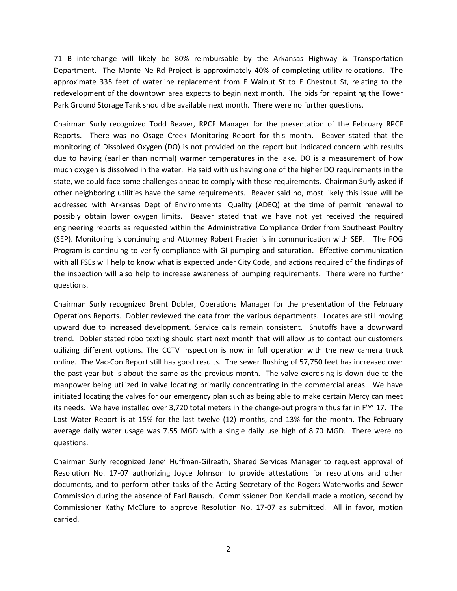71 B interchange will likely be 80% reimbursable by the Arkansas Highway & Transportation Department. The Monte Ne Rd Project is approximately 40% of completing utility relocations. The approximate 335 feet of waterline replacement from E Walnut St to E Chestnut St, relating to the redevelopment of the downtown area expects to begin next month. The bids for repainting the Tower Park Ground Storage Tank should be available next month. There were no further questions.

Chairman Surly recognized Todd Beaver, RPCF Manager for the presentation of the February RPCF Reports. There was no Osage Creek Monitoring Report for this month. Beaver stated that the monitoring of Dissolved Oxygen (DO) is not provided on the report but indicated concern with results due to having (earlier than normal) warmer temperatures in the lake. DO is a measurement of how much oxygen is dissolved in the water. He said with us having one of the higher DO requirements in the state, we could face some challenges ahead to comply with these requirements. Chairman Surly asked if other neighboring utilities have the same requirements. Beaver said no, most likely this issue will be addressed with Arkansas Dept of Environmental Quality (ADEQ) at the time of permit renewal to possibly obtain lower oxygen limits. Beaver stated that we have not yet received the required engineering reports as requested within the Administrative Compliance Order from Southeast Poultry (SEP). Monitoring is continuing and Attorney Robert Frazier is in communication with SEP. The FOG Program is continuing to verify compliance with GI pumping and saturation. Effective communication with all FSEs will help to know what is expected under City Code, and actions required of the findings of the inspection will also help to increase awareness of pumping requirements. There were no further questions.

Chairman Surly recognized Brent Dobler, Operations Manager for the presentation of the February Operations Reports. Dobler reviewed the data from the various departments. Locates are still moving upward due to increased development. Service calls remain consistent. Shutoffs have a downward trend. Dobler stated robo texting should start next month that will allow us to contact our customers utilizing different options. The CCTV inspection is now in full operation with the new camera truck online. The Vac-Con Report still has good results. The sewer flushing of 57,750 feet has increased over the past year but is about the same as the previous month. The valve exercising is down due to the manpower being utilized in valve locating primarily concentrating in the commercial areas. We have initiated locating the valves for our emergency plan such as being able to make certain Mercy can meet its needs. We have installed over 3,720 total meters in the change-out program thus far in F'Y' 17. The Lost Water Report is at 15% for the last twelve (12) months, and 13% for the month. The February average daily water usage was 7.55 MGD with a single daily use high of 8.70 MGD. There were no questions.

Chairman Surly recognized Jene' Huffman-Gilreath, Shared Services Manager to request approval of Resolution No. 17-07 authorizing Joyce Johnson to provide attestations for resolutions and other documents, and to perform other tasks of the Acting Secretary of the Rogers Waterworks and Sewer Commission during the absence of Earl Rausch. Commissioner Don Kendall made a motion, second by Commissioner Kathy McClure to approve Resolution No. 17-07 as submitted. All in favor, motion carried.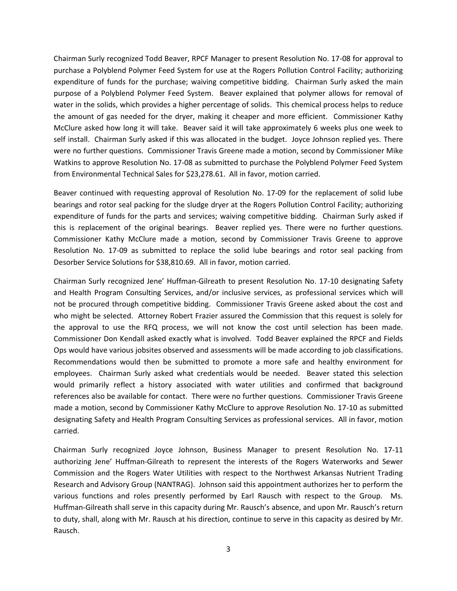Chairman Surly recognized Todd Beaver, RPCF Manager to present Resolution No. 17-08 for approval to purchase a Polyblend Polymer Feed System for use at the Rogers Pollution Control Facility; authorizing expenditure of funds for the purchase; waiving competitive bidding. Chairman Surly asked the main purpose of a Polyblend Polymer Feed System. Beaver explained that polymer allows for removal of water in the solids, which provides a higher percentage of solids. This chemical process helps to reduce the amount of gas needed for the dryer, making it cheaper and more efficient. Commissioner Kathy McClure asked how long it will take. Beaver said it will take approximately 6 weeks plus one week to self install. Chairman Surly asked if this was allocated in the budget. Joyce Johnson replied yes. There were no further questions. Commissioner Travis Greene made a motion, second by Commissioner Mike Watkins to approve Resolution No. 17-08 as submitted to purchase the Polyblend Polymer Feed System from Environmental Technical Sales for \$23,278.61. All in favor, motion carried.

Beaver continued with requesting approval of Resolution No. 17-09 for the replacement of solid lube bearings and rotor seal packing for the sludge dryer at the Rogers Pollution Control Facility; authorizing expenditure of funds for the parts and services; waiving competitive bidding. Chairman Surly asked if this is replacement of the original bearings. Beaver replied yes. There were no further questions. Commissioner Kathy McClure made a motion, second by Commissioner Travis Greene to approve Resolution No. 17-09 as submitted to replace the solid lube bearings and rotor seal packing from Desorber Service Solutions for \$38,810.69. All in favor, motion carried.

Chairman Surly recognized Jene' Huffman-Gilreath to present Resolution No. 17-10 designating Safety and Health Program Consulting Services, and/or inclusive services, as professional services which will not be procured through competitive bidding. Commissioner Travis Greene asked about the cost and who might be selected. Attorney Robert Frazier assured the Commission that this request is solely for the approval to use the RFQ process, we will not know the cost until selection has been made. Commissioner Don Kendall asked exactly what is involved. Todd Beaver explained the RPCF and Fields Ops would have various jobsites observed and assessments will be made according to job classifications. Recommendations would then be submitted to promote a more safe and healthy environment for employees. Chairman Surly asked what credentials would be needed. Beaver stated this selection would primarily reflect a history associated with water utilities and confirmed that background references also be available for contact. There were no further questions. Commissioner Travis Greene made a motion, second by Commissioner Kathy McClure to approve Resolution No. 17-10 as submitted designating Safety and Health Program Consulting Services as professional services. All in favor, motion carried.

Chairman Surly recognized Joyce Johnson, Business Manager to present Resolution No. 17-11 authorizing Jene' Huffman-Gilreath to represent the interests of the Rogers Waterworks and Sewer Commission and the Rogers Water Utilities with respect to the Northwest Arkansas Nutrient Trading Research and Advisory Group (NANTRAG). Johnson said this appointment authorizes her to perform the various functions and roles presently performed by Earl Rausch with respect to the Group. Ms. Huffman-Gilreath shall serve in this capacity during Mr. Rausch's absence, and upon Mr. Rausch's return to duty, shall, along with Mr. Rausch at his direction, continue to serve in this capacity as desired by Mr. Rausch.